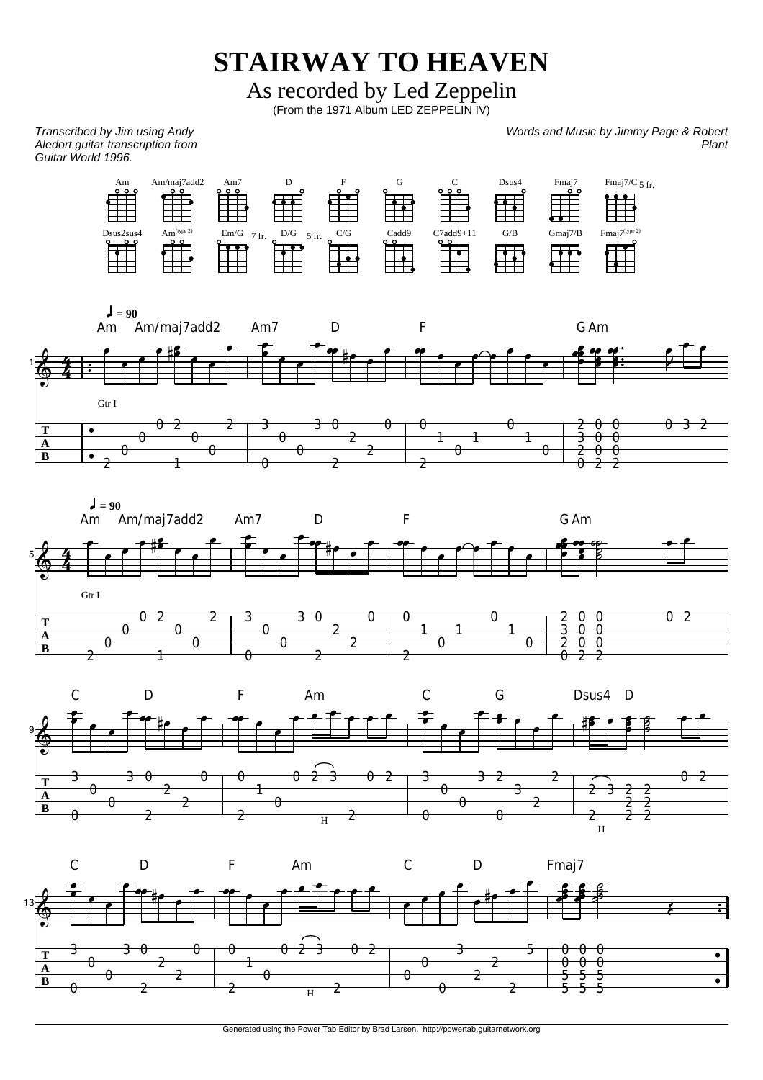**STAIRWAY TO HEAVEN**

As recorded by Led Zeppelin

(From the 1971 Album LED ZEPPELIN IV)

*Transcribed by Jim using Andy Aledort guitar transcription from Guitar World 1996.* 

*Words and Music by Jimmy Page & Robert Plant*







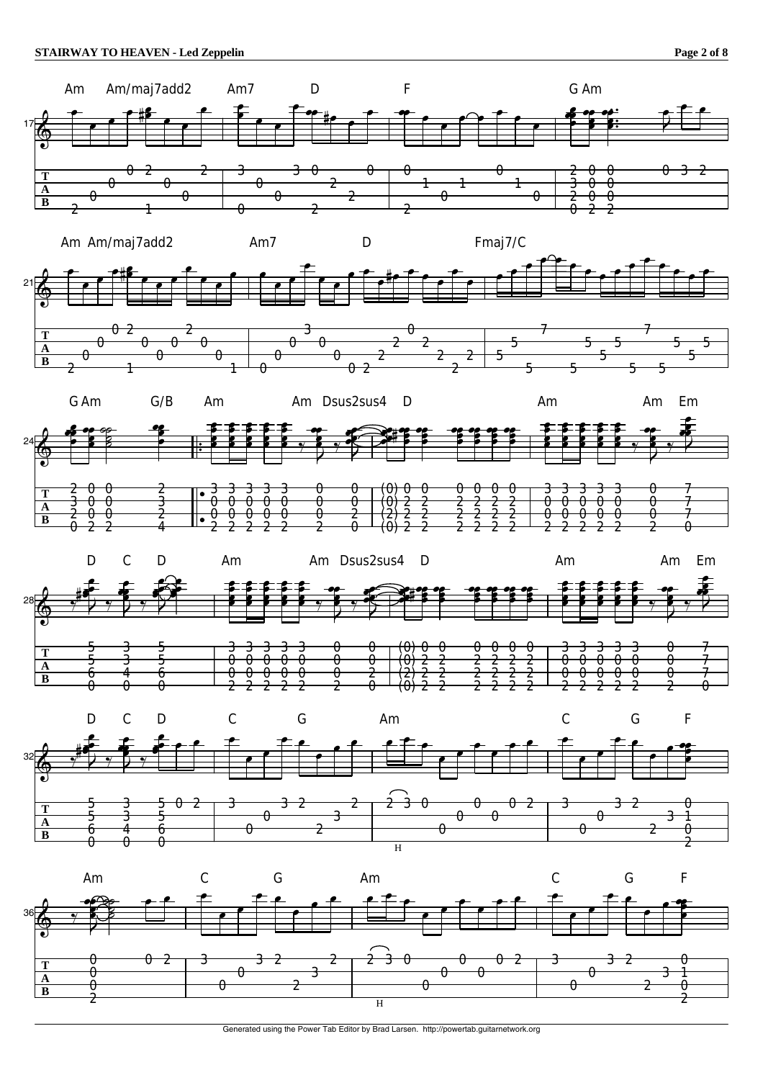

Generated using the Power Tab Editor by Brad Larsen. http://powertab.guitarnetwork.org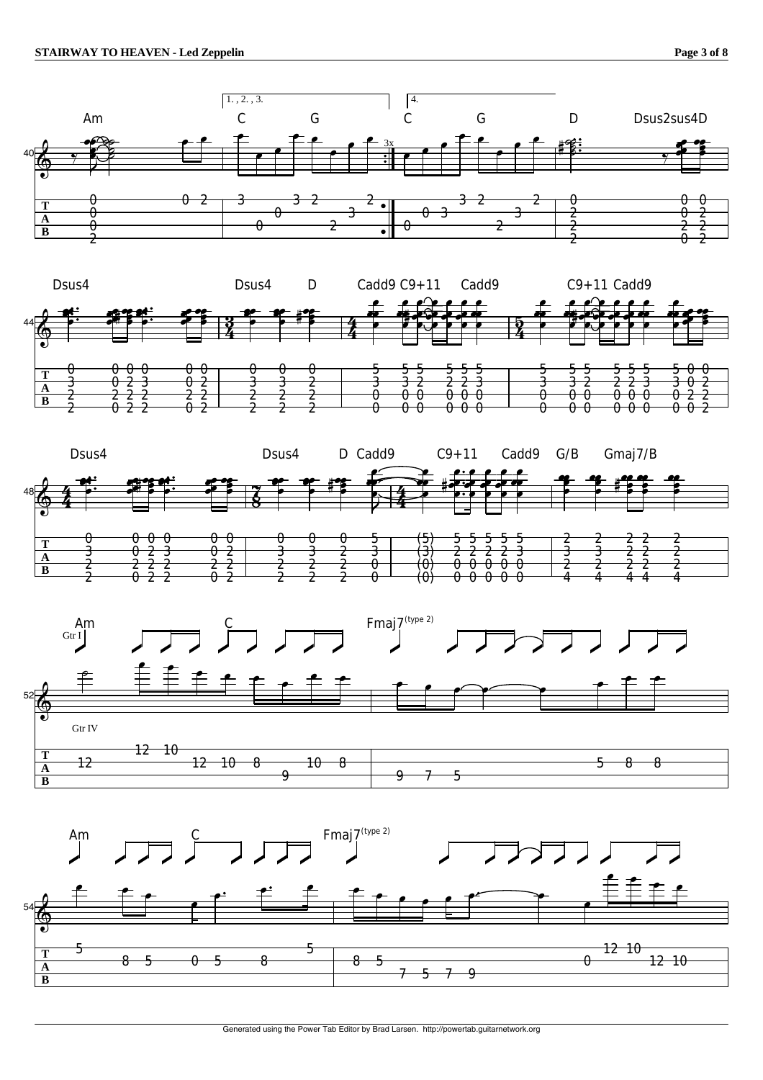







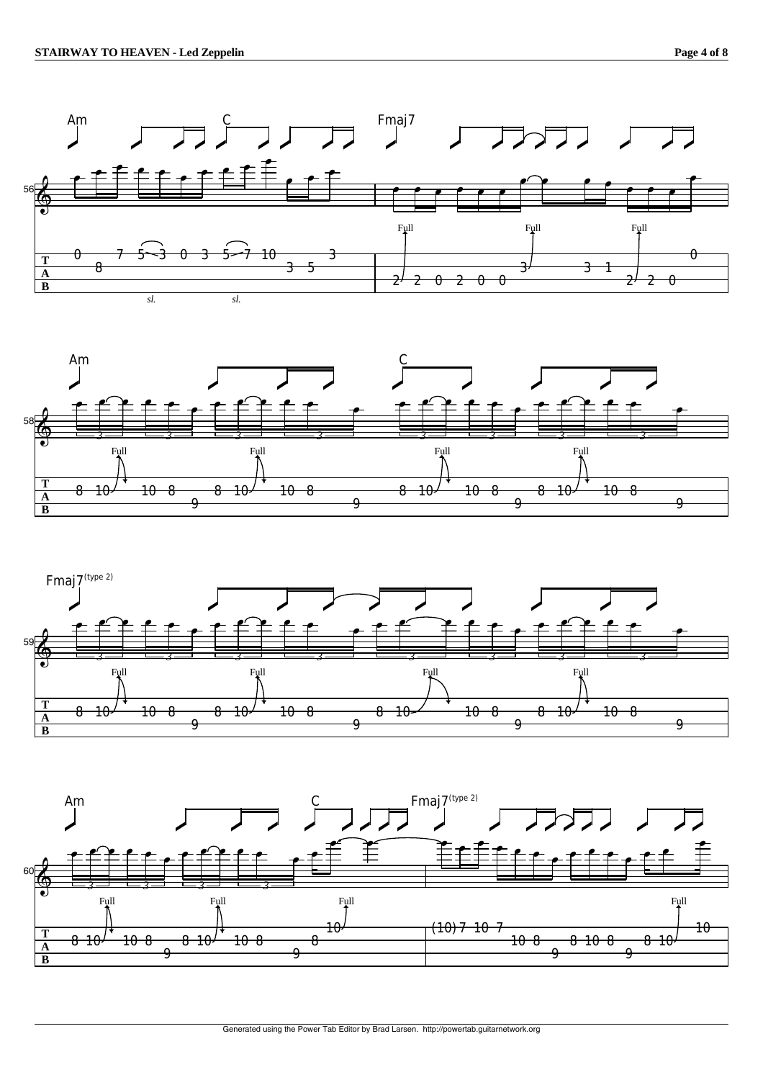





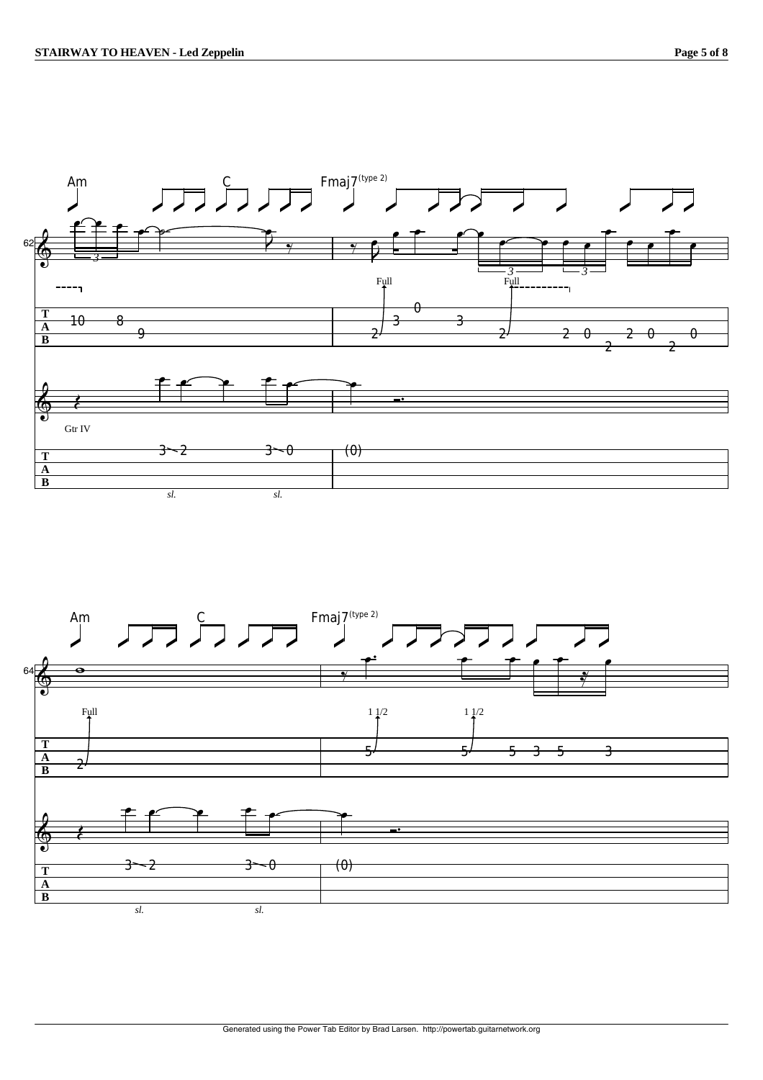

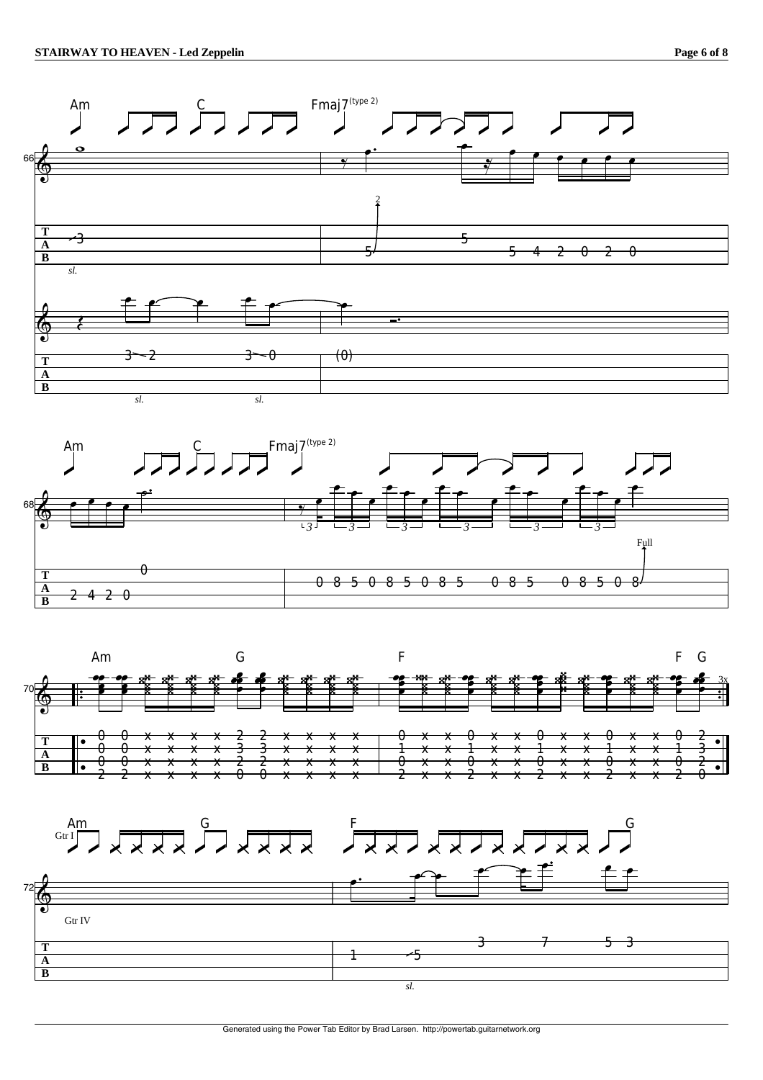**B**









Generated using the Power Tab Editor by Brad Larsen. http://powertab.guitarnetwork.org

*sl.*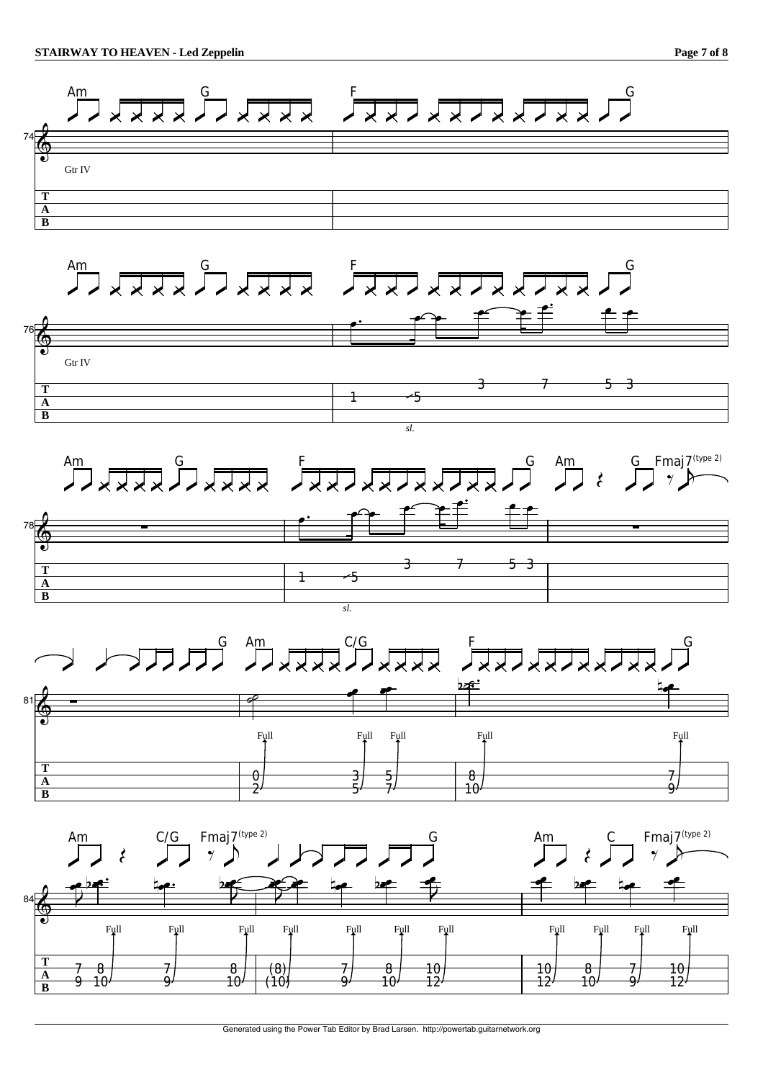